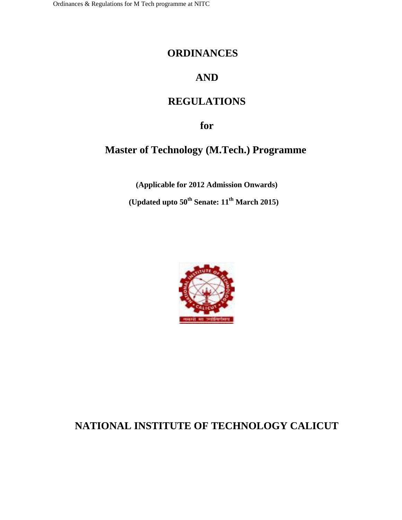# **ORDINANCES**

# **AND**

# **REGULATIONS**

**for**

# **Master of Technology (M.Tech.) Programme**

**(Applicable for 2012 Admission Onwards) (Updated upto 50th Senate: 11th March 2015)**



# **NATIONAL INSTITUTE OF TECHNOLOGY CALICUT**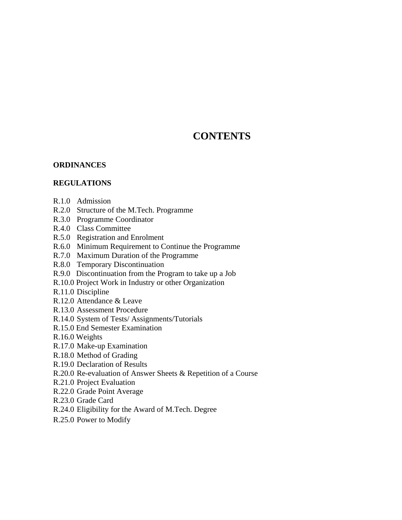# **CONTENTS**

# **ORDINANCES**

# **REGULATIONS**

- R.1.0 Admission
- R.2.0 Structure of the M.Tech. Programme
- R.3.0 Programme Coordinator
- R.4.0 Class Committee
- R.5.0 Registration and Enrolment
- R.6.0 Minimum Requirement to Continue the Programme
- R.7.0 Maximum Duration of the Programme
- R.8.0 Temporary Discontinuation
- R.9.0 Discontinuation from the Program to take up a Job
- R.10.0 Project Work in Industry or other Organization
- R.11.0 Discipline
- R.12.0 Attendance & Leave
- R.13.0 Assessment Procedure
- R.14.0 System of Tests/ Assignments/Tutorials
- R.15.0 End Semester Examination
- R.16.0 Weights
- R.17.0 Make-up Examination
- R.18.0 Method of Grading
- R.19.0 Declaration of Results
- R.20.0 Re-evaluation of Answer Sheets & Repetition of a Course
- R.21.0 Project Evaluation
- R.22.0 Grade Point Average
- R.23.0 Grade Card
- R.24.0 Eligibility for the Award of M.Tech. Degree
- R.25.0 Power to Modify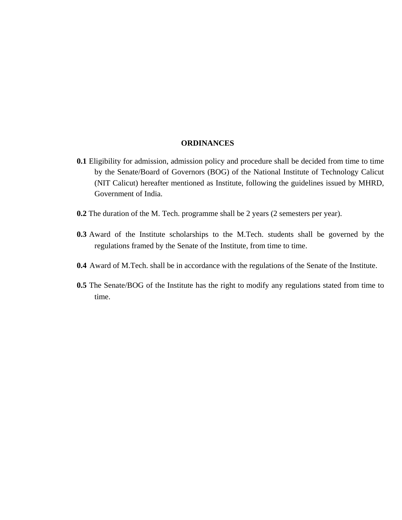#### **ORDINANCES**

- **0.1** Eligibility for admission, admission policy and procedure shall be decided from time to time by the Senate/Board of Governors (BOG) of the National Institute of Technology Calicut (NIT Calicut) hereafter mentioned as Institute, following the guidelines issued by MHRD, Government of India.
- **0.2** The duration of the M. Tech. programme shall be 2 years (2 semesters per year).
- **0.3** Award of the Institute scholarships to the M.Tech. students shall be governed by the regulations framed by the Senate of the Institute, from time to time.
- **0.4** Award of M.Tech. shall be in accordance with the regulations of the Senate of the Institute.
- **0.5** The Senate/BOG of the Institute has the right to modify any regulations stated from time to time.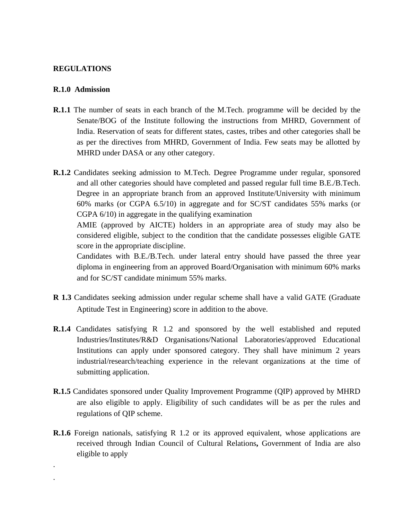# **REGULATIONS**

### **R.1.0 Admission**

. .

- **R.1.1** The number of seats in each branch of the M.Tech. programme will be decided by the Senate/BOG of the Institute following the instructions from MHRD, Government of India. Reservation of seats for different states, castes, tribes and other categories shall be as per the directives from MHRD, Government of India. Few seats may be allotted by MHRD under DASA or any other category.
- **R.1.2** Candidates seeking admission to M.Tech. Degree Programme under regular, sponsored and all other categories should have completed and passed regular full time B.E./B.Tech. Degree in an appropriate branch from an approved Institute/University with minimum 60% marks (or CGPA 6.5/10) in aggregate and for SC/ST candidates 55% marks (or CGPA 6/10) in aggregate in the qualifying examination

AMIE (approved by AICTE) holders in an appropriate area of study may also be considered eligible, subject to the condition that the candidate possesses eligible GATE score in the appropriate discipline.

Candidates with B.E./B.Tech. under lateral entry should have passed the three year diploma in engineering from an approved Board/Organisation with minimum 60% marks and for SC/ST candidate minimum 55% marks.

- **R 1.3** Candidates seeking admission under regular scheme shall have a valid GATE (Graduate Aptitude Test in Engineering) score in addition to the above.
- **R.1.4** Candidates satisfying R 1.2 and sponsored by the well established and reputed Industries/Institutes/R&D Organisations/National Laboratories/approved Educational Institutions can apply under sponsored category. They shall have minimum 2 years industrial/research/teaching experience in the relevant organizations at the time of submitting application.
- **R.1.5** Candidates sponsored under Quality Improvement Programme (QIP) approved by MHRD are also eligible to apply. Eligibility of such candidates will be as per the rules and regulations of QIP scheme.
- **R.1.6** Foreign nationals, satisfying R 1.2 or its approved equivalent, whose applications are received through Indian Council of Cultural Relations**,** Government of India are also eligible to apply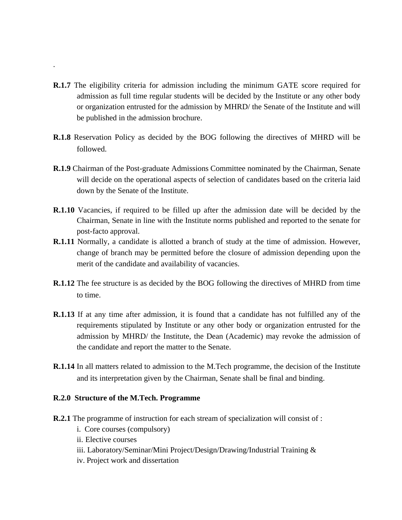- **R.1.7** The eligibility criteria for admission including the minimum GATE score required for admission as full time regular students will be decided by the Institute or any other body or organization entrusted for the admission by MHRD/ the Senate of the Institute and will be published in the admission brochure.
- **R.1.8** Reservation Policy as decided by the BOG following the directives of MHRD will be followed.
- **R.1.9** Chairman of the Post-graduate Admissions Committee nominated by the Chairman, Senate will decide on the operational aspects of selection of candidates based on the criteria laid down by the Senate of the Institute.
- **R.1.10** Vacancies, if required to be filled up after the admission date will be decided by the Chairman, Senate in line with the Institute norms published and reported to the senate for post-facto approval.
- **R.1.11** Normally, a candidate is allotted a branch of study at the time of admission. However, change of branch may be permitted before the closure of admission depending upon the merit of the candidate and availability of vacancies.
- **R.1.12** The fee structure is as decided by the BOG following the directives of MHRD from time to time.
- **R.1.13** If at any time after admission, it is found that a candidate has not fulfilled any of the requirements stipulated by Institute or any other body or organization entrusted for the admission by MHRD/ the Institute, the Dean (Academic) may revoke the admission of the candidate and report the matter to the Senate.
- **R.1.14** In all matters related to admission to the M.Tech programme, the decision of the Institute and its interpretation given by the Chairman, Senate shall be final and binding.

# **R.2.0 Structure of the M.Tech. Programme**

- **R.2.1** The programme of instruction for each stream of specialization will consist of :
	- i. Core courses (compulsory)
	- ii. Elective courses

.

- iii. Laboratory/Seminar/Mini Project/Design/Drawing/Industrial Training &
- iv. Project work and dissertation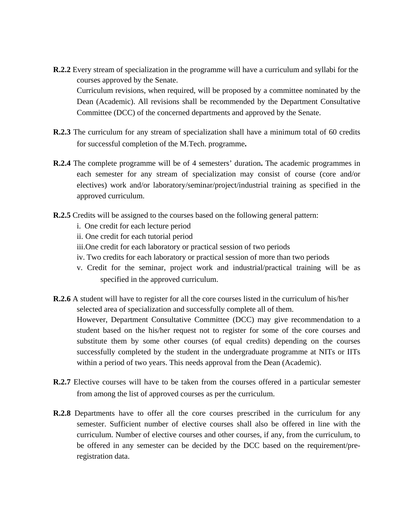- **R.2.2** Every stream of specialization in the programme will have a curriculum and syllabi for the courses approved by the Senate. Curriculum revisions, when required, will be proposed by a committee nominated by the Dean (Academic). All revisions shall be recommended by the Department Consultative Committee (DCC) of the concerned departments and approved by the Senate.
- **R.2.3** The curriculum for any stream of specialization shall have a minimum total of 60 credits for successful completion of the M.Tech. programme**.**
- **R.2.4** The complete programme will be of 4 semesters' duration**.** The academic programmes in each semester for any stream of specialization may consist of course (core and/or electives) work and/or laboratory/seminar/project/industrial training as specified in the approved curriculum.
- **R.2.5** Credits will be assigned to the courses based on the following general pattern:
	- i. One credit for each lecture period
	- ii. One credit for each tutorial period
	- iii.One credit for each laboratory or practical session of two periods
	- iv. Two credits for each laboratory or practical session of more than two periods
	- v. Credit for the seminar, project work and industrial/practical training will be as specified in the approved curriculum.
- **R.2.6** A student will have to register for all the core courses listed in the curriculum of his/her selected area of specialization and successfully complete all of them. However, Department Consultative Committee (DCC) may give recommendation to a student based on the his/her request not to register for some of the core courses and substitute them by some other courses (of equal credits) depending on the courses successfully completed by the student in the undergraduate programme at NITs or IITs within a period of two years. This needs approval from the Dean (Academic).
- **R.2.7** Elective courses will have to be taken from the courses offered in a particular semester from among the list of approved courses as per the curriculum.
- **R.2.8** Departments have to offer all the core courses prescribed in the curriculum for any semester. Sufficient number of elective courses shall also be offered in line with the curriculum. Number of elective courses and other courses, if any, from the curriculum, to be offered in any semester can be decided by the DCC based on the requirement/preregistration data.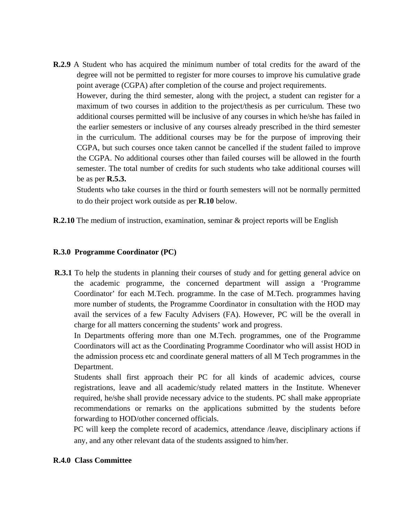**R.2.9** A Student who has acquired the minimum number of total credits for the award of the degree will not be permitted to register for more courses to improve his cumulative grade point average (CGPA) after completion of the course and project requirements.

However, during the third semester, along with the project, a student can register for a maximum of two courses in addition to the project/thesis as per curriculum*.* These two additional courses permitted will be inclusive of any courses in which he/she has failed in the earlier semesters or inclusive of any courses already prescribed in the third semester in the curriculum. The additional courses may be for the purpose of improving their CGPA, but such courses once taken cannot be cancelled if the student failed to improve the CGPA. No additional courses other than failed courses will be allowed in the fourth semester. The total number of credits for such students who take additional courses will be as per **R.5.3.**

Students who take courses in the third or fourth semesters will not be normally permitted to do their project work outside as per **R.10** below.

**R.2.10** The medium of instruction, examination, seminar & project reports will be English

# **R.3.0 Programme Coordinator (PC)**

**R.3.1** To help the students in planning their courses of study and for getting general advice on the academic programme, the concerned department will assign a 'Programme Coordinator' for each M.Tech. programme. In the case of M.Tech. programmes having more number of students, the Programme Coordinator in consultation with the HOD may avail the services of a few Faculty Advisers (FA). However, PC will be the overall in charge for all matters concerning the students' work and progress.

In Departments offering more than one M.Tech. programmes, one of the Programme Coordinators will act as the Coordinating Programme Coordinator who will assist HOD in the admission process etc and coordinate general matters of all M Tech programmes in the Department.

Students shall first approach their PC for all kinds of academic advices, course registrations, leave and all academic/study related matters in the Institute. Whenever required, he/she shall provide necessary advice to the students. PC shall make appropriate recommendations or remarks on the applications submitted by the students before forwarding to HOD/other concerned officials.

PC will keep the complete record of academics, attendance /leave, disciplinary actions if any, and any other relevant data of the students assigned to him/her.

# **R.4.0 Class Committee**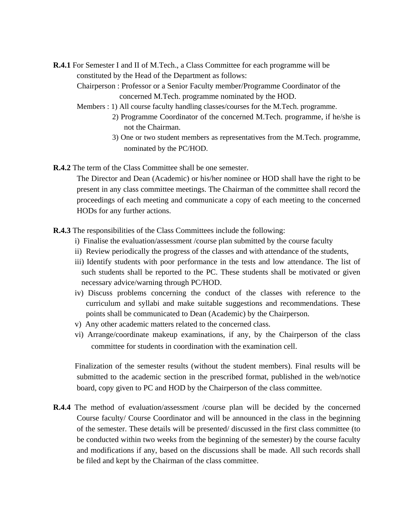**R.4.1** For Semester I and II of M.Tech., a Class Committee for each programme will be constituted by the Head of the Department as follows:

Chairperson : Professor or a Senior Faculty member/Programme Coordinator of the concerned M.Tech. programme nominated by the HOD.

- Members : 1) All course faculty handling classes/courses for the M.Tech. programme.
	- 2) Programme Coordinator of the concerned M.Tech. programme, if he/she is not the Chairman.
		- 3) One or two student members as representatives from the M.Tech. programme, nominated by the PC/HOD.
- **R.4.2** The term of the Class Committee shall be one semester.

The Director and Dean (Academic) or his/her nominee or HOD shall have the right to be present in any class committee meetings. The Chairman of the committee shall record the proceedings of each meeting and communicate a copy of each meeting to the concerned HODs for any further actions.

**R.4.3** The responsibilities of the Class Committees include the following:

- i) Finalise the evaluation/assessment /course plan submitted by the course faculty
- ii) Review periodically the progress of the classes and with attendance of the students,
- iii) Identify students with poor performance in the tests and low attendance. The list of such students shall be reported to the PC. These students shall be motivated or given necessary advice/warning through PC/HOD.
- iv) Discuss problems concerning the conduct of the classes with reference to the curriculum and syllabi and make suitable suggestions and recommendations. These points shall be communicated to Dean (Academic) by the Chairperson.
- v) Any other academic matters related to the concerned class.
- vi) Arrange/coordinate makeup examinations, if any, by the Chairperson of the class committee for students in coordination with the examination cell.

Finalization of the semester results (without the student members). Final results will be submitted to the academic section in the prescribed format, published in the web/notice board, copy given to PC and HOD by the Chairperson of the class committee.

**R.4.4** The method of evaluation/assessment /course plan will be decided by the concerned Course faculty/ Course Coordinator and will be announced in the class in the beginning of the semester. These details will be presented/ discussed in the first class committee (to be conducted within two weeks from the beginning of the semester) by the course faculty and modifications if any, based on the discussions shall be made. All such records shall be filed and kept by the Chairman of the class committee.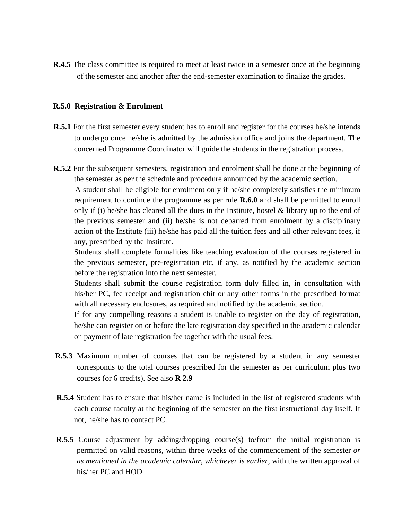**R.4.5** The class committee is required to meet at least twice in a semester once at the beginning of the semester and another after the end-semester examination to finalize the grades.

### **R.5.0 Registration & Enrolment**

- **R.5.1** For the first semester every student has to enroll and register for the courses he/she intends to undergo once he/she is admitted by the admission office and joins the department. The concerned Programme Coordinator will guide the students in the registration process.
- **R.5.2** For the subsequent semesters, registration and enrolment shall be done at the beginning of the semester as per the schedule and procedure announced by the academic section.

A student shall be eligible for enrolment only if he/she completely satisfies the minimum requirement to continue the programme as per rule **R.6.0** and shall be permitted to enroll only if (i) he/she has cleared all the dues in the Institute, hostel  $\&$  library up to the end of the previous semester and (ii) he/she is not debarred from enrolment by a disciplinary action of the Institute (iii) he/she has paid all the tuition fees and all other relevant fees, if any, prescribed by the Institute.

Students shall complete formalities like teaching evaluation of the courses registered in the previous semester, pre-registration etc, if any, as notified by the academic section before the registration into the next semester.

Students shall submit the course registration form duly filled in, in consultation with his/her PC, fee receipt and registration chit or any other forms in the prescribed format with all necessary enclosures, as required and notified by the academic section.

If for any compelling reasons a student is unable to register on the day of registration, he/she can register on or before the late registration day specified in the academic calendar on payment of late registration fee together with the usual fees.

- **R.5.3** Maximum number of courses that can be registered by a student in any semester corresponds to the total courses prescribed for the semester as per curriculum plus two courses (or 6 credits). See also **R 2.9**
- **R.5.4** Student has to ensure that his/her name is included in the list of registered students with each course faculty at the beginning of the semester on the first instructional day itself. If not, he/she has to contact PC.
- **R.5.5** Course adjustment by adding/dropping course(s) to/from the initial registration is permitted on valid reasons, within three weeks of the commencement of the semester *or as mentioned in the academic calendar*, *whichever is earlier*, with the written approval of his/her PC and HOD.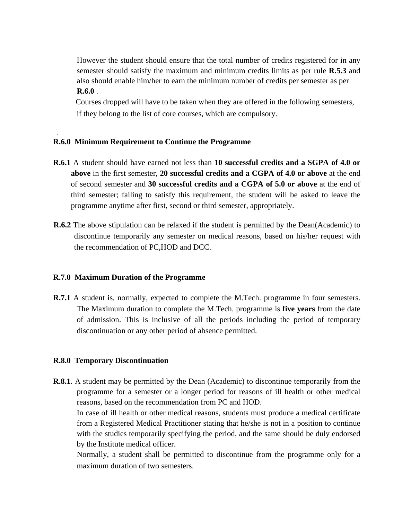However the student should ensure that the total number of credits registered for in any semester should satisfy the maximum and minimum credits limits as per rule **R.5.3** and also should enable him/her to earn the minimum number of credits per semester as per **R.6.0** .

Courses dropped will have to be taken when they are offered in the following semesters, if they belong to the list of core courses, which are compulsory.

# **R.6.0 Minimum Requirement to Continue the Programme**

.

- **R.6.1** A student should have earned not less than **10 successful credits and a SGPA of 4.0 or above** in the first semester, **20 successful credits and a CGPA of 4.0 or above** at the end of second semester and **30 successful credits and a CGPA of 5.0 or above** at the end of third semester; failing to satisfy this requirement, the student will be asked to leave the programme anytime after first, second or third semester, appropriately.
- **R.6.2** The above stipulation can be relaxed if the student is permitted by the Dean(Academic) to discontinue temporarily any semester on medical reasons, based on his/her request with the recommendation of PC,HOD and DCC.

# **R.7.0 Maximum Duration of the Programme**

**R.7.1** A student is, normally, expected to complete the M.Tech. programme in four semesters. The Maximum duration to complete the M.Tech. programme is **five years** from the date of admission. This is inclusive of all the periods including the period of temporary discontinuation or any other period of absence permitted.

# **R.8.0 Temporary Discontinuation**

**R.8.1**. A student may be permitted by the Dean (Academic) to discontinue temporarily from the programme for a semester or a longer period for reasons of ill health or other medical reasons, based on the recommendation from PC and HOD.

In case of ill health or other medical reasons, students must produce a medical certificate from a Registered Medical Practitioner stating that he/she is not in a position to continue with the studies temporarily specifying the period, and the same should be duly endorsed by the Institute medical officer.

Normally, a student shall be permitted to discontinue from the programme only for a maximum duration of two semesters.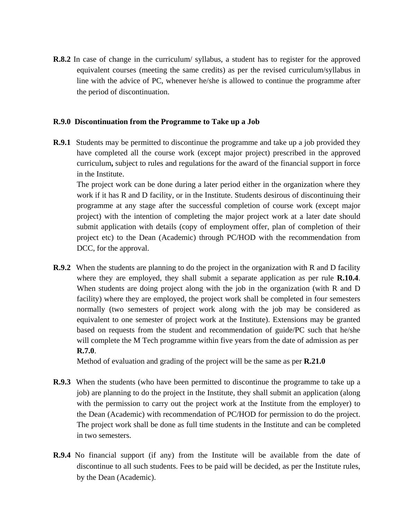**R.8.2** In case of change in the curriculum/ syllabus, a student has to register for the approved equivalent courses (meeting the same credits) as per the revised curriculum/syllabus in line with the advice of PC, whenever he/she is allowed to continue the programme after the period of discontinuation.

# **R.9.0 Discontinuation from the Programme to Take up a Job**

**R.9.1** Students may be permitted to discontinue the programme and take up a job provided they have completed all the course work (except major project) prescribed in the approved curriculum**,** subject to rules and regulations for the award of the financial support in force in the Institute.

The project work can be done during a later period either in the organization where they work if it has R and D facility, or in the Institute. Students desirous of discontinuing their programme at any stage after the successful completion of course work (except major project) with the intention of completing the major project work at a later date should submit application with details (copy of employment offer, plan of completion of their project etc) to the Dean (Academic) through PC/HOD with the recommendation from DCC, for the approval.

**R.9.2** When the students are planning to do the project in the organization with R and D facility where they are employed, they shall submit a separate application as per rule **R.10.4**. When students are doing project along with the job in the organization (with R and D facility) where they are employed, the project work shall be completed in four semesters normally (two semesters of project work along with the job may be considered as equivalent to one semester of project work at the Institute). Extensions may be granted based on requests from the student and recommendation of guide/PC such that he/she will complete the M Tech programme within five years from the date of admission as per **R.7.0**.

Method of evaluation and grading of the project will be the same as per **R.21.0**

- **R.9.3** When the students (who have been permitted to discontinue the programme to take up a job) are planning to do the project in the Institute, they shall submit an application (along with the permission to carry out the project work at the Institute from the employer) to the Dean (Academic) with recommendation of PC/HOD for permission to do the project. The project work shall be done as full time students in the Institute and can be completed in two semesters.
- **R.9.4** No financial support (if any) from the Institute will be available from the date of discontinue to all such students. Fees to be paid will be decided, as per the Institute rules, by the Dean (Academic).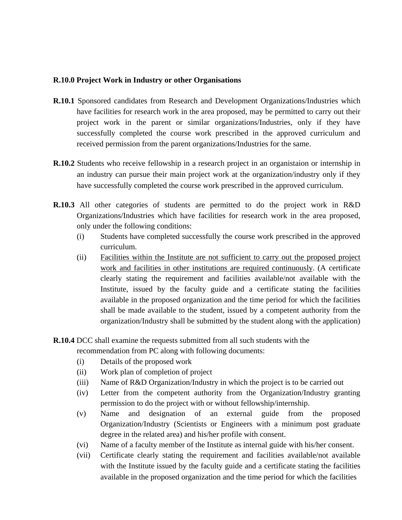# **R.10.0 Project Work in Industry or other Organisations**

- **R.10.1** Sponsored candidates from Research and Development Organizations/Industries which have facilities for research work in the area proposed, may be permitted to carry out their project work in the parent or similar organizations/Industries, only if they have successfully completed the course work prescribed in the approved curriculum and received permission from the parent organizations/Industries for the same.
- **R.10.2** Students who receive fellowship in a research project in an organistaion or internship in an industry can pursue their main project work at the organization/industry only if they have successfully completed the course work prescribed in the approved curriculum.
- **R.10.3** All other categories of students are permitted to do the project work in R&D Organizations/Industries which have facilities for research work in the area proposed, only under the following conditions:
	- (i) Students have completed successfully the course work prescribed in the approved curriculum.
	- (ii) Facilities within the Institute are not sufficient to carry out the proposed project work and facilities in other institutions are required continuously. (A certificate clearly stating the requirement and facilities available/not available with the Institute, issued by the faculty guide and a certificate stating the facilities available in the proposed organization and the time period for which the facilities shall be made available to the student, issued by a competent authority from the organization/Industry shall be submitted by the student along with the application)
- **R.10.4** DCC shall examine the requests submitted from all such students with the recommendation from PC along with following documents:
	- (i) Details of the proposed work
	- (ii) Work plan of completion of project
	- (iii) Name of R&D Organization/Industry in which the project is to be carried out
	- (iv) Letter from the competent authority from the Organization/Industry granting permission to do the project with or without fellowship/internship.
	- (v) Name and designation of an external guide from the proposed Organization/Industry (Scientists or Engineers with a minimum post graduate degree in the related area) and his/her profile with consent.
	- (vi) Name of a faculty member of the Institute as internal guide with his/her consent.
	- (vii) Certificate clearly stating the requirement and facilities available/not available with the Institute issued by the faculty guide and a certificate stating the facilities available in the proposed organization and the time period for which the facilities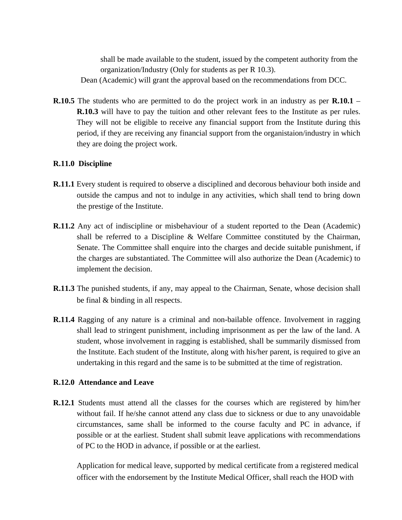shall be made available to the student, issued by the competent authority from the organization/Industry (Only for students as per R 10.3).

Dean (Academic) will grant the approval based on the recommendations from DCC.

**R.10.5** The students who are permitted to do the project work in an industry as per **R.10.1** – **R.10.3** will have to pay the tuition and other relevant fees to the Institute as per rules. They will not be eligible to receive any financial support from the Institute during this period, if they are receiving any financial support from the organistaion/industry in which they are doing the project work.

# **R.11.0 Discipline**

- **R.11.1** Every student is required to observe a disciplined and decorous behaviour both inside and outside the campus and not to indulge in any activities, which shall tend to bring down the prestige of the Institute.
- **R.11.2** Any act of indiscipline or misbehaviour of a student reported to the Dean (Academic) shall be referred to a Discipline & Welfare Committee constituted by the Chairman, Senate. The Committee shall enquire into the charges and decide suitable punishment, if the charges are substantiated. The Committee will also authorize the Dean (Academic) to implement the decision.
- **R.11.3** The punished students, if any, may appeal to the Chairman, Senate, whose decision shall be final & binding in all respects.
- **R.11.4** Ragging of any nature is a criminal and non-bailable offence. Involvement in ragging shall lead to stringent punishment, including imprisonment as per the law of the land. A student, whose involvement in ragging is established, shall be summarily dismissed from the Institute. Each student of the Institute, along with his/her parent, is required to give an undertaking in this regard and the same is to be submitted at the time of registration.

# **R.12.0 Attendance and Leave**

**R.12.1** Students must attend all the classes for the courses which are registered by him/her without fail. If he/she cannot attend any class due to sickness or due to any unavoidable circumstances, same shall be informed to the course faculty and PC in advance, if possible or at the earliest. Student shall submit leave applications with recommendations of PC to the HOD in advance, if possible or at the earliest.

Application for medical leave, supported by medical certificate from a registered medical officer with the endorsement by the Institute Medical Officer, shall reach the HOD with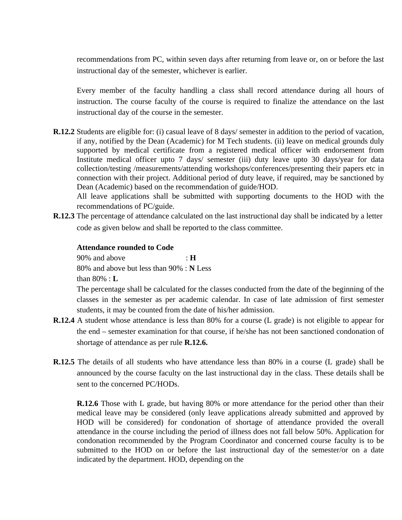recommendations from PC, within seven days after returning from leave or, on or before the last instructional day of the semester, whichever is earlier.

Every member of the faculty handling a class shall record attendance during all hours of instruction. The course faculty of the course is required to finalize the attendance on the last instructional day of the course in the semester.

**R.12.2** Students are eligible for: (i) casual leave of 8 days/ semester in addition to the period of vacation, if any, notified by the Dean (Academic) for M Tech students. (ii) leave on medical grounds duly supported by medical certificate from a registered medical officer with endorsement from Institute medical officer upto 7 days/ semester (iii) duty leave upto 30 days/year for data collection/testing /measurements/attending workshops/conferences/presenting their papers etc in connection with their project. Additional period of duty leave, if required, may be sanctioned by Dean (Academic) based on the recommendation of guide/HOD.

All leave applications shall be submitted with supporting documents to the HOD with the recommendations of PC/guide.

**R.12.3** The percentage of attendance calculated on the last instructional day shall be indicated by a letter code as given below and shall be reported to the class committee.

# **Attendance rounded to Code**

90% and above : **H** 80% and above but less than 90% : **N** Less than 80% : **L**

The percentage shall be calculated for the classes conducted from the date of the beginning of the classes in the semester as per academic calendar. In case of late admission of first semester students, it may be counted from the date of his/her admission.

- **R.12.4** A student whose attendance is less than 80% for a course (L grade) is not eligible to appear for the end – semester examination for that course, if he/she has not been sanctioned condonation of shortage of attendance as per rule **R.12.6.**
- **R.12.5** The details of all students who have attendance less than 80% in a course (L grade) shall be announced by the course faculty on the last instructional day in the class. These details shall be sent to the concerned PC/HODs.

**R.12.6** Those with L grade, but having 80% or more attendance for the period other than their medical leave may be considered (only leave applications already submitted and approved by HOD will be considered) for condonation of shortage of attendance provided the overall attendance in the course including the period of illness does not fall below 50%. Application for condonation recommended by the Program Coordinator and concerned course faculty is to be submitted to the HOD on or before the last instructional day of the semester/or on a date indicated by the department. HOD, depending on the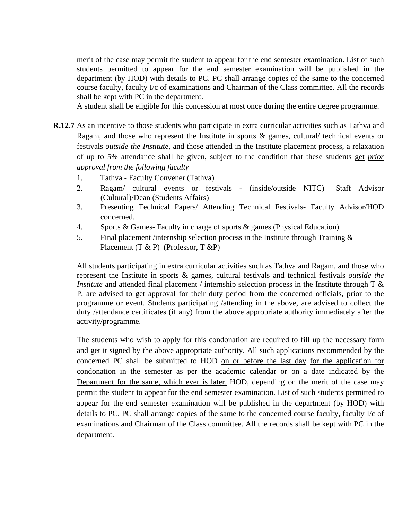merit of the case may permit the student to appear for the end semester examination. List of such students permitted to appear for the end semester examination will be published in the department (by HOD) with details to PC. PC shall arrange copies of the same to the concerned course faculty, faculty I/c of examinations and Chairman of the Class committee. All the records shall be kept with PC in the department.

A student shall be eligible for this concession at most once during the entire degree programme.

- **R.12.7** As an incentive to those students who participate in extra curricular activities such as Tathva and Ragam, and those who represent the Institute in sports & games, cultural/ technical events or festivals *outside the Institute*, and those attended in the Institute placement process, a relaxation of up to 5% attendance shall be given, subject to the condition that these students get *prior approval from the following faculty*
	- 1. Tathva Faculty Convener (Tathva)
	- 2. Ragam/ cultural events or festivals (inside/outside NITC)– Staff Advisor (Cultural)/Dean (Students Affairs)
	- 3. Presenting Technical Papers/ Attending Technical Festivals- Faculty Advisor/HOD concerned.
	- 4. Sports & Games- Faculty in charge of sports & games (Physical Education)
	- 5. Final placement /internship selection process in the Institute through Training & Placement (T & P) (Professor, T & P)

All students participating in extra curricular activities such as Tathva and Ragam, and those who represent the Institute in sports & games, cultural festivals and technical festivals *outside the Institute* and attended final placement / internship selection process in the Institute through T & P, are advised to get approval for their duty period from the concerned officials, prior to the programme or event. Students participating /attending in the above, are advised to collect the duty /attendance certificates (if any) from the above appropriate authority immediately after the activity/programme.

The students who wish to apply for this condonation are required to fill up the necessary form and get it signed by the above appropriate authority. All such applications recommended by the concerned PC shall be submitted to HOD on or before the last day for the application for condonation in the semester as per the academic calendar or on a date indicated by the Department for the same, which ever is later. HOD, depending on the merit of the case may permit the student to appear for the end semester examination. List of such students permitted to appear for the end semester examination will be published in the department (by HOD) with details to PC. PC shall arrange copies of the same to the concerned course faculty, faculty I/c of examinations and Chairman of the Class committee. All the records shall be kept with PC in the department.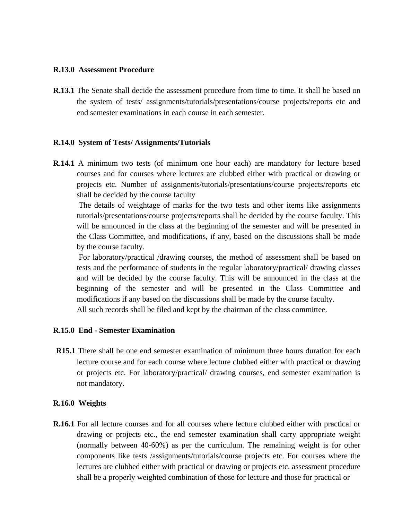### **R.13.0 Assessment Procedure**

**R.13.1** The Senate shall decide the assessment procedure from time to time. It shall be based on the system of tests/ assignments/tutorials/presentations/course projects/reports etc and end semester examinations in each course in each semester.

### **R.14.0 System of Tests/ Assignments/Tutorials**

**R.14.1** A minimum two tests (of minimum one hour each) are mandatory for lecture based courses and for courses where lectures are clubbed either with practical or drawing or projects etc. Number of assignments/tutorials/presentations/course projects/reports etc shall be decided by the course faculty

The details of weightage of marks for the two tests and other items like assignments tutorials/presentations/course projects/reports shall be decided by the course faculty. This will be announced in the class at the beginning of the semester and will be presented in the Class Committee, and modifications, if any, based on the discussions shall be made by the course faculty.

For laboratory/practical /drawing courses, the method of assessment shall be based on tests and the performance of students in the regular laboratory/practical/ drawing classes and will be decided by the course faculty. This will be announced in the class at the beginning of the semester and will be presented in the Class Committee and modifications if any based on the discussions shall be made by the course faculty.

All such records shall be filed and kept by the chairman of the class committee.

## **R.15.0 End - Semester Examination**

**R15.1** There shall be one end semester examination of minimum three hours duration for each lecture course and for each course where lecture clubbed either with practical or drawing or projects etc. For laboratory/practical/ drawing courses, end semester examination is not mandatory.

### **R.16.0 Weights**

**R.16.1** For all lecture courses and for all courses where lecture clubbed either with practical or drawing or projects etc., the end semester examination shall carry appropriate weight (normally between 40-60%) as per the curriculum. The remaining weight is for other components like tests /assignments/tutorials/course projects etc. For courses where the lectures are clubbed either with practical or drawing or projects etc. assessment procedure shall be a properly weighted combination of those for lecture and those for practical or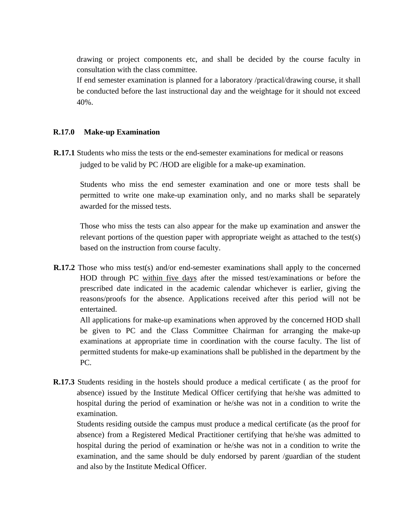drawing or project components etc, and shall be decided by the course faculty in consultation with the class committee.

If end semester examination is planned for a laboratory /practical/drawing course, it shall be conducted before the last instructional day and the weightage for it should not exceed 40%.

# **R.17.0 Make-up Examination**

**R.17.1** Students who miss the tests or the end-semester examinations for medical or reasons judged to be valid by PC /HOD are eligible for a make-up examination.

Students who miss the end semester examination and one or more tests shall be permitted to write one make-up examination only, and no marks shall be separately awarded for the missed tests.

Those who miss the tests can also appear for the make up examination and answer the relevant portions of the question paper with appropriate weight as attached to the test(s) based on the instruction from course faculty.

**R.17.2** Those who miss test(s) and/or end-semester examinations shall apply to the concerned HOD through PC within five days after the missed test/examinations or before the prescribed date indicated in the academic calendar whichever is earlier, giving the reasons/proofs for the absence. Applications received after this period will not be entertained.

All applications for make-up examinations when approved by the concerned HOD shall be given to PC and the Class Committee Chairman for arranging the make-up examinations at appropriate time in coordination with the course faculty. The list of permitted students for make-up examinations shall be published in the department by the PC.

**R.17.3** Students residing in the hostels should produce a medical certificate ( as the proof for absence) issued by the Institute Medical Officer certifying that he/she was admitted to hospital during the period of examination or he/she was not in a condition to write the examination.

Students residing outside the campus must produce a medical certificate (as the proof for absence) from a Registered Medical Practitioner certifying that he/she was admitted to hospital during the period of examination or he/she was not in a condition to write the examination, and the same should be duly endorsed by parent /guardian of the student and also by the Institute Medical Officer.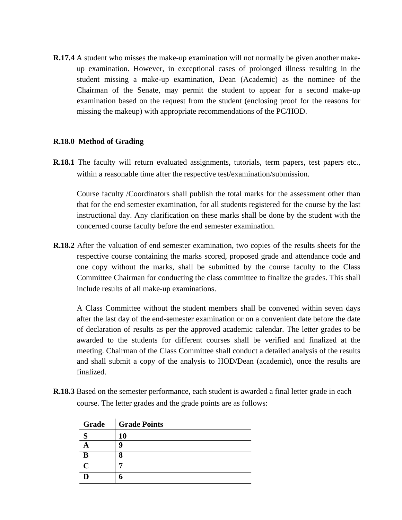**R.17.4** A student who misses the make-up examination will not normally be given another makeup examination. However, in exceptional cases of prolonged illness resulting in the student missing a make-up examination, Dean (Academic) as the nominee of the Chairman of the Senate, may permit the student to appear for a second make-up examination based on the request from the student (enclosing proof for the reasons for missing the makeup) with appropriate recommendations of the PC/HOD.

# **R.18.0 Method of Grading**

**R.18.1** The faculty will return evaluated assignments, tutorials, term papers, test papers etc., within a reasonable time after the respective test/examination/submission.

Course faculty /Coordinators shall publish the total marks for the assessment other than that for the end semester examination, for all students registered for the course by the last instructional day. Any clarification on these marks shall be done by the student with the concerned course faculty before the end semester examination.

**R.18.2** After the valuation of end semester examination, two copies of the results sheets for the respective course containing the marks scored, proposed grade and attendance code and one copy without the marks, shall be submitted by the course faculty to the Class Committee Chairman for conducting the class committee to finalize the grades. This shall include results of all make-up examinations.

A Class Committee without the student members shall be convened within seven days after the last day of the end-semester examination or on a convenient date before the date of declaration of results as per the approved academic calendar. The letter grades to be awarded to the students for different courses shall be verified and finalized at the meeting. Chairman of the Class Committee shall conduct a detailed analysis of the results and shall submit a copy of the analysis to HOD/Dean (academic), once the results are finalized.

**R.18.3** Based on the semester performance, each student is awarded a final letter grade in each course. The letter grades and the grade points are as follows:

| Grade         | <b>Grade Points</b> |
|---------------|---------------------|
| $\sim$        | 10                  |
|               |                     |
|               |                     |
| $\mathcal{C}$ |                     |
|               |                     |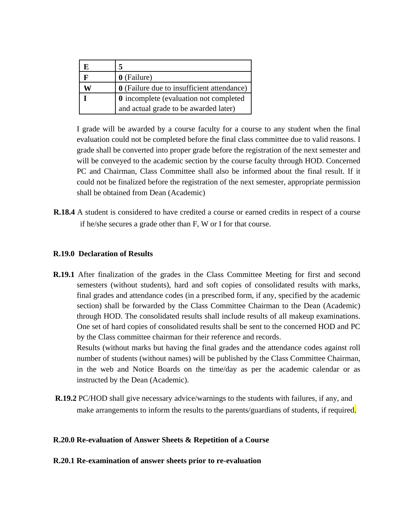| 0 (Failure)                                       |
|---------------------------------------------------|
| <b>0</b> (Failure due to insufficient attendance) |
| <b>0</b> incomplete (evaluation not completed     |
| and actual grade to be awarded later)             |

I grade will be awarded by a course faculty for a course to any student when the final evaluation could not be completed before the final class committee due to valid reasons. I grade shall be converted into proper grade before the registration of the next semester and will be conveyed to the academic section by the course faculty through HOD. Concerned PC and Chairman, Class Committee shall also be informed about the final result. If it could not be finalized before the registration of the next semester, appropriate permission shall be obtained from Dean (Academic)

**R.18.4** A student is considered to have credited a course or earned credits in respect of a course if he/she secures a grade other than F, W or I for that course.

# **R.19.0 Declaration of Results**

**R.19.1** After finalization of the grades in the Class Committee Meeting for first and second semesters (without students), hard and soft copies of consolidated results with marks, final grades and attendance codes (in a prescribed form, if any, specified by the academic section) shall be forwarded by the Class Committee Chairman to the Dean (Academic) through HOD. The consolidated results shall include results of all makeup examinations. One set of hard copies of consolidated results shall be sent to the concerned HOD and PC by the Class committee chairman for their reference and records. Results (without marks but having the final grades and the attendance codes against roll

number of students (without names) will be published by the Class Committee Chairman, in the web and Notice Boards on the time/day as per the academic calendar or as instructed by the Dean (Academic).

**R.19.2** PC/HOD shall give necessary advice/warnings to the students with failures, if any, and make arrangements to inform the results to the parents/guardians of students, if required.

# **R.20.0 Re-evaluation of Answer Sheets & Repetition of a Course**

# **R.20.1 Re-examination of answer sheets prior to re-evaluation**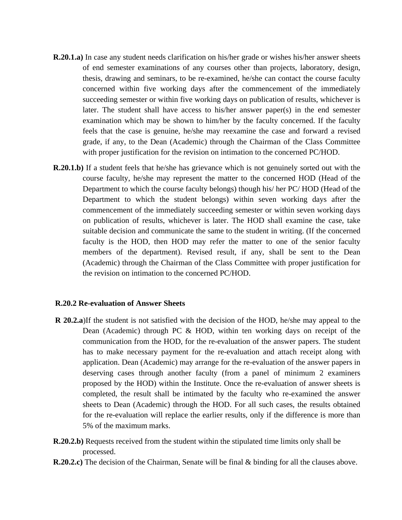- **R.20.1.a)** In case any student needs clarification on his/her grade or wishes his/her answer sheets of end semester examinations of any courses other than projects, laboratory, design, thesis, drawing and seminars, to be re-examined, he/she can contact the course faculty concerned within five working days after the commencement of the immediately succeeding semester or within five working days on publication of results, whichever is later. The student shall have access to his/her answer paper(s) in the end semester examination which may be shown to him/her by the faculty concerned. If the faculty feels that the case is genuine, he/she may reexamine the case and forward a revised grade, if any, to the Dean (Academic) through the Chairman of the Class Committee with proper justification for the revision on intimation to the concerned PC/HOD.
- **R.20.1.b**) If a student feels that he/she has grievance which is not genuinely sorted out with the course faculty, he/she may represent the matter to the concerned HOD (Head of the Department to which the course faculty belongs) though his/ her PC/ HOD (Head of the Department to which the student belongs) within seven working days after the commencement of the immediately succeeding semester or within seven working days on publication of results, whichever is later. The HOD shall examine the case, take suitable decision and communicate the same to the student in writing. (If the concerned faculty is the HOD, then HOD may refer the matter to one of the senior faculty members of the department). Revised result, if any, shall be sent to the Dean (Academic) through the Chairman of the Class Committee with proper justification for the revision on intimation to the concerned PC/HOD.

### **R.20.2 Re-evaluation of Answer Sheets**

- **R** 20.2.a)If the student is not satisfied with the decision of the HOD, he/she may appeal to the Dean (Academic) through PC & HOD, within ten working days on receipt of the communication from the HOD, for the re-evaluation of the answer papers. The student has to make necessary payment for the re-evaluation and attach receipt along with application. Dean (Academic) may arrange for the re-evaluation of the answer papers in deserving cases through another faculty (from a panel of minimum 2 examiners proposed by the HOD) within the Institute. Once the re-evaluation of answer sheets is completed, the result shall be intimated by the faculty who re-examined the answer sheets to Dean (Academic) through the HOD. For all such cases, the results obtained for the re-evaluation will replace the earlier results, only if the difference is more than 5% of the maximum marks.
- **R.20.2.b)** Requests received from the student within the stipulated time limits only shall be processed.
- **R.20.2.c**) The decision of the Chairman, Senate will be final & binding for all the clauses above.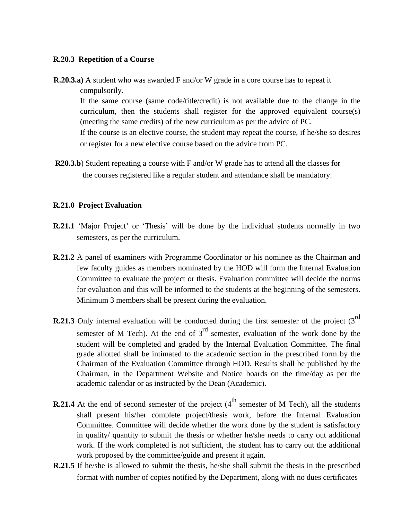### **R.20.3 Repetition of a Course**

- **R.20.3.a)** A student who was awarded F and/or W grade in a core course has to repeat it compulsorily. If the same course (same code/title/credit) is not available due to the change in the curriculum, then the students shall register for the approved equivalent course(s) (meeting the same credits) of the new curriculum as per the advice of PC. If the course is an elective course, the student may repeat the course, if he/she so desires or register for a new elective course based on the advice from PC.
- **R20.3.b**) Student repeating a course with F and/or W grade has to attend all the classes for the courses registered like a regular student and attendance shall be mandatory.

# **R.21.0 Project Evaluation**

- **R.21.1** 'Major Project' or 'Thesis' will be done by the individual students normally in two semesters, as per the curriculum.
- **R.21.2** A panel of examiners with Programme Coordinator or his nominee as the Chairman and few faculty guides as members nominated by the HOD will form the Internal Evaluation Committee to evaluate the project or thesis. Evaluation committee will decide the norms for evaluation and this will be informed to the students at the beginning of the semesters. Minimum 3 members shall be present during the evaluation.
- **R.21.3** Only internal evaluation will be conducted during the first semester of the project (3<sup>rd</sup>) semester of M Tech). At the end of  $3<sup>rd</sup>$  semester, evaluation of the work done by the student will be completed and graded by the Internal Evaluation Committee. The final grade allotted shall be intimated to the academic section in the prescribed form by the Chairman of the Evaluation Committee through HOD. Results shall be published by the Chairman, in the Department Website and Notice boards on the time/day as per the academic calendar or as instructed by the Dean (Academic).
- **R.21.4** At the end of second semester of the project  $(4^{\text{th}})$  semester of M Tech), all the students shall present his/her complete project/thesis work, before the Internal Evaluation Committee. Committee will decide whether the work done by the student is satisfactory in quality/ quantity to submit the thesis or whether he/she needs to carry out additional work. If the work completed is not sufficient, the student has to carry out the additional work proposed by the committee/guide and present it again.
- **R.21.5** If he/she is allowed to submit the thesis, he/she shall submit the thesis in the prescribed format with number of copies notified by the Department, along with no dues certificates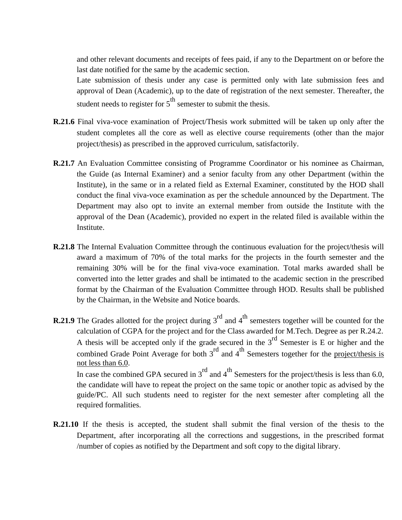and other relevant documents and receipts of fees paid, if any to the Department on or before the last date notified for the same by the academic section.

Late submission of thesis under any case is permitted only with late submission fees and approval of Dean (Academic), up to the date of registration of the next semester. Thereafter, the student needs to register for  $5<sup>th</sup>$  semester to submit the thesis.

- **R.21.6** Final viva-voce examination of Project/Thesis work submitted will be taken up only after the student completes all the core as well as elective course requirements (other than the major project/thesis) as prescribed in the approved curriculum, satisfactorily.
- **R.21.7** An Evaluation Committee consisting of Programme Coordinator or his nominee as Chairman, the Guide (as Internal Examiner) and a senior faculty from any other Department (within the Institute), in the same or in a related field as External Examiner, constituted by the HOD shall conduct the final viva-voce examination as per the schedule announced by the Department. The Department may also opt to invite an external member from outside the Institute with the approval of the Dean (Academic), provided no expert in the related filed is available within the Institute.
- **R.21.8** The Internal Evaluation Committee through the continuous evaluation for the project/thesis will award a maximum of 70% of the total marks for the projects in the fourth semester and the remaining 30% will be for the final viva-voce examination. Total marks awarded shall be converted into the letter grades and shall be intimated to the academic section in the prescribed format by the Chairman of the Evaluation Committee through HOD. Results shall be published by the Chairman, in the Website and Notice boards.
- **R.21.9** The Grades allotted for the project during 3<sup>rd</sup> and 4<sup>th</sup> semesters together will be counted for the calculation of CGPA for the project and for the Class awarded for M.Tech. Degree as per R.24.2. A thesis will be accepted only if the grade secured in the  $3<sup>rd</sup>$  Semester is E or higher and the combined Grade Point Average for both  $3^{rd}$  and  $4^{th}$  Semesters together for the project/thesis is not less than 6.0. In case the combined GPA secured in  $3^{rd}$  and  $4^{th}$  Semesters for the project/thesis is less than 6.0, the candidate will have to repeat the project on the same topic or another topic as advised by the guide/PC. All such students need to register for the next semester after completing all the required formalities.
- **R.21.10** If the thesis is accepted, the student shall submit the final version of the thesis to the Department, after incorporating all the corrections and suggestions, in the prescribed format /number of copies as notified by the Department and soft copy to the digital library.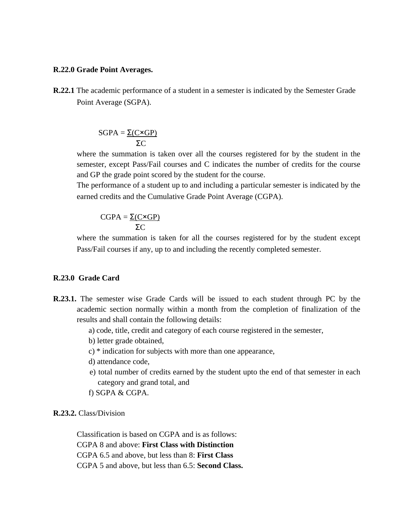### **R.22.0 Grade Point Averages.**

**R.22.1** The academic performance of a student in a semester is indicated by the Semester Grade Point Average (SGPA).

$$
SGPA = \frac{\Sigma(C \times GP)}{\Sigma C}
$$

where the summation is taken over all the courses registered for by the student in the semester, except Pass/Fail courses and C indicates the number of credits for the course and GP the grade point scored by the student for the course.

The performance of a student up to and including a particular semester is indicated by the earned credits and the Cumulative Grade Point Average (CGPA).

$$
CGPA = \frac{\Sigma(C \times GP)}{\Sigma C}
$$

where the summation is taken for all the courses registered for by the student except Pass/Fail courses if any, up to and including the recently completed semester.

# **R.23.0 Grade Card**

- **R.23.1.** The semester wise Grade Cards will be issued to each student through PC by the academic section normally within a month from the completion of finalization of the results and shall contain the following details:
	- a) code, title, credit and category of each course registered in the semester,
	- b) letter grade obtained,
	- c) \* indication for subjects with more than one appearance,
	- d) attendance code,
	- e) total number of credits earned by the student upto the end of that semester in each category and grand total, and
	- f) SGPA & CGPA.

# **R.23.2.** Class/Division

Classification is based on CGPA and is as follows: CGPA 8 and above: **First Class with Distinction** CGPA 6.5 and above, but less than 8: **First Class** CGPA 5 and above, but less than 6.5: **Second Class.**